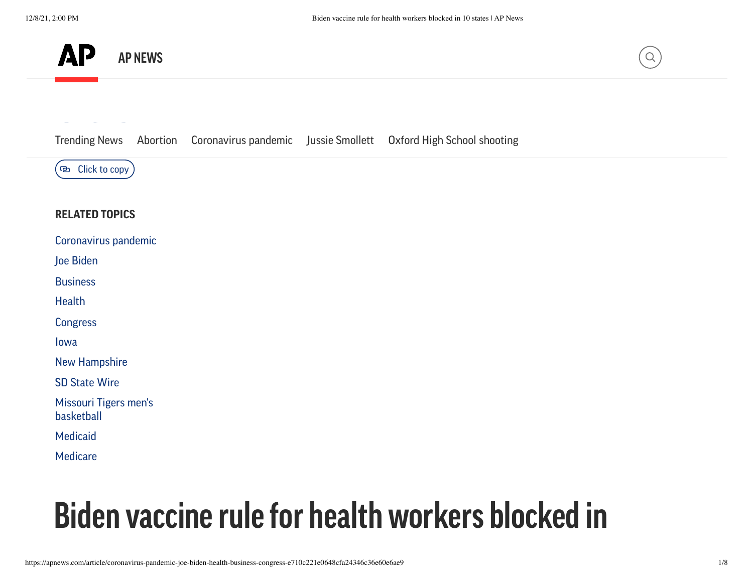



[Trending](https://apnews.com/hub/trending-news?utm_source=apnewsnav&utm_medium=featured) Ne[ws](mailto:?subject=Biden%20vaccine%20rule%20for%20health%20workers%20blocked%20in%2010%20states&body=https://apnews.com/article/coronavirus-pandemic-joe-biden-health-business-congress-e710c221e0648cfa24346c36e60e6ae9) [Abortion](https://apnews.com/hub/abortion?utm_source=apnewsnav&utm_medium=featured) [Coronavirus](https://apnews.com/hub/coronavirus-pandemic?utm_source=apnewsnav&utm_medium=featured) pandemic Jussie [Smollett](https://apnews.com/hub/jussie-smollett?utm_source=apnewsnav&utm_medium=featured) Oxford High School [shooting](https://apnews.com/hub/oxford-high-school-shooting?utm_source=apnewsnav&utm_medium=featured)



#### **RELATED TOPICS**

|  |  | Coronavirus pandemic |
|--|--|----------------------|
|  |  |                      |
|  |  |                      |

Joe [Biden](https://apnews.com/hub/joe-biden)

**[Business](https://apnews.com/hub/business)** 

**[Health](https://apnews.com/hub/health)** 

**[Congress](https://apnews.com/hub/congress)** 

[Iowa](https://apnews.com/hub/iowa)

New [Hampshire](https://apnews.com/hub/new-hampshire)

[SD State](https://apnews.com/hub/sd-state-wire) Wire

Missouri Tigers men's [basketball](https://apnews.com/hub/missouri)

[Medicaid](https://apnews.com/hub/medicaid)

**[Medicare](https://apnews.com/hub/medicare)** 

# **Biden vaccine rule for health workers blocked in**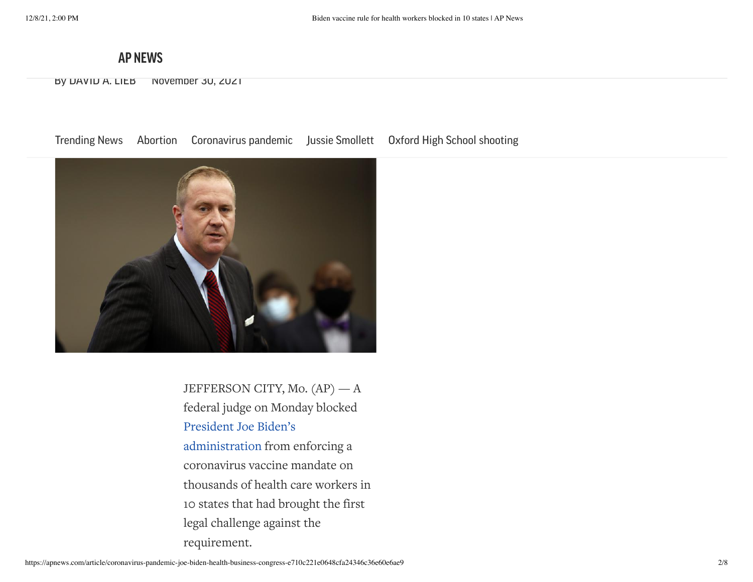## **[10](https://apnews.com/) states AP NEWS**

By DAVID A. LIEB November 30, 2021

[Trending](https://apnews.com/hub/trending-news?utm_source=apnewsnav&utm_medium=featured) News [Abortion](https://apnews.com/hub/abortion?utm_source=apnewsnav&utm_medium=featured) [Coronavirus](https://apnews.com/hub/coronavirus-pandemic?utm_source=apnewsnav&utm_medium=featured) pandemic Jussie [Smollett](https://apnews.com/hub/jussie-smollett?utm_source=apnewsnav&utm_medium=featured) Oxford High School [shooting](https://apnews.com/hub/oxford-high-school-shooting?utm_source=apnewsnav&utm_medium=featured)



JEFFERSON CITY, Mo. (AP) — A federal judge on Monday blocked President Joe Biden's [administration](https://apnews.com/article/coronavirus-pandemic-joe-biden-business-lifestyle-health-c6c9d651f631464e168f7a47b6e353bf) from enforcing a coronavirus vaccine mandate on thousands of health care workers in 10 states that had brought the first legal challenge against the requirement.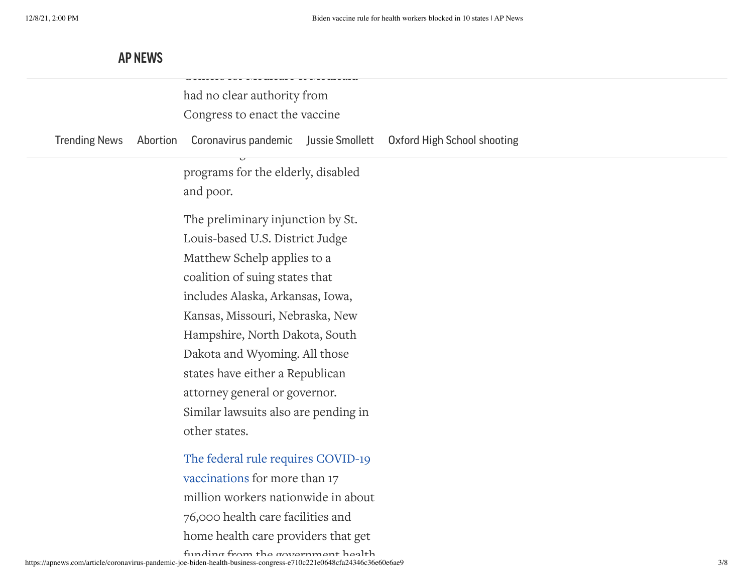|                      |          | istosi sos intousonso or intousoniu  |  |                                    |
|----------------------|----------|--------------------------------------|--|------------------------------------|
|                      |          |                                      |  |                                    |
|                      |          | had no clear authority from          |  |                                    |
|                      |          | Congress to enact the vaccine        |  |                                    |
| <b>Trending News</b> | Abortion | Coronavirus pandemic Jussie Smollett |  | <b>Oxford High School shooting</b> |
|                      |          | programs for the elderly, disabled   |  |                                    |
|                      |          | and poor.                            |  |                                    |
|                      |          | The preliminary injunction by St.    |  |                                    |
|                      |          | Louis-based U.S. District Judge      |  |                                    |
|                      |          | Matthew Schelp applies to a          |  |                                    |
|                      |          | coalition of suing states that       |  |                                    |
|                      |          | includes Alaska, Arkansas, Iowa,     |  |                                    |
|                      |          | Kansas, Missouri, Nebraska, New      |  |                                    |
|                      |          | Hampshire, North Dakota, South       |  |                                    |
|                      |          | Dakota and Wyoming. All those        |  |                                    |
|                      |          | states have either a Republican      |  |                                    |
|                      |          | attorney general or governor.        |  |                                    |
|                      |          | Similar lawsuits also are pending in |  |                                    |
|                      |          | other states.                        |  |                                    |
|                      |          | The federal rule requires COVID-19   |  |                                    |
|                      |          | vaccinations for more than 17        |  |                                    |
|                      |          | million workers nationwide in about  |  |                                    |
|                      |          | 76,000 health care facilities and    |  |                                    |
|                      |          | home health care providers that get  |  |                                    |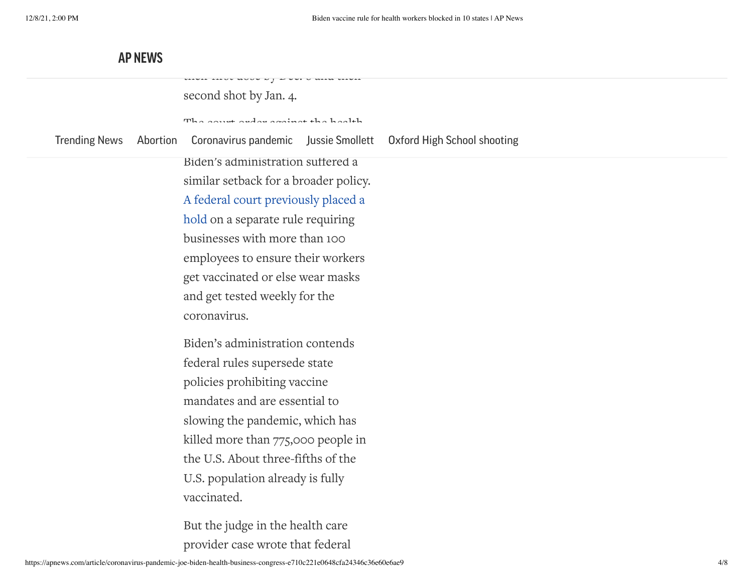the first doctor by Dec. 6 and the second shot by Jan. 4. The court order against the health [Trending](https://apnews.com/hub/trending-news?utm_source=apnewsnav&utm_medium=featured) News [Abortion](https://apnews.com/hub/abortion?utm_source=apnewsnav&utm_medium=featured) [Coronavirus](https://apnews.com/hub/coronavirus-pandemic?utm_source=apnewsnav&utm_medium=featured) pandemic Jussie [Smollett](https://apnews.com/hub/jussie-smollett?utm_source=apnewsnav&utm_medium=featured) Oxford High School [shooting](https://apnews.com/hub/oxford-high-school-shooting?utm_source=apnewsnav&utm_medium=featured) Biden's administration suffered a similar setback for a broader policy. A [federal court](https://apnews.com/article/appeals-court-stays-vaccine-mandate-coronavirus-biden-b235b6fa858bd23b02ab5f9c009428db) previously placed a hold on a separate rule requiring businesses with more than 100 employees to ensure their workers get vaccinated or else wear masks and get tested weekly for the coronavirus. Biden's administration contends federal rules supersede state policies prohibiting vaccine mandates and are essential to slowing the pandemic, which has killed more than 775,000 people in the U.S. About three-fifths of the U.S. population already is fully vaccinated. But the judge in the health care provider case wrote that federal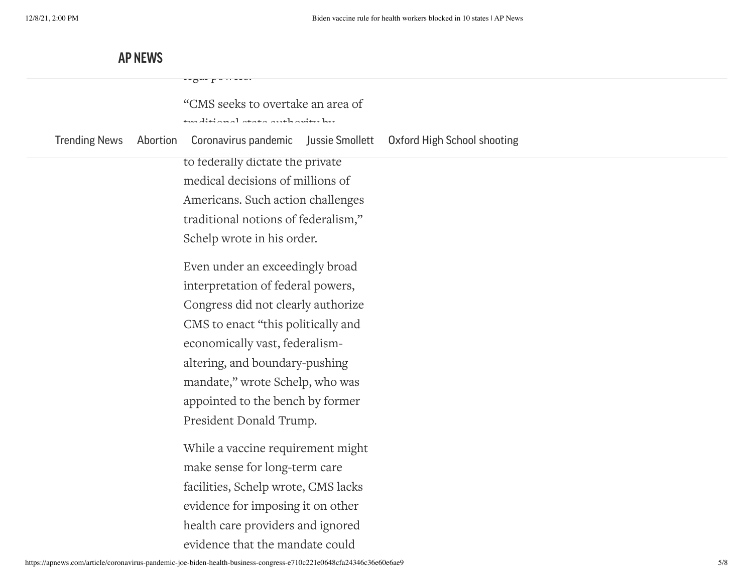|                      |          | $\sim$                                                           |  |
|----------------------|----------|------------------------------------------------------------------|--|
|                      |          | "CMS seeks to overtake an area of                                |  |
|                      |          | المتلأ ومقابضا والقمم المتحفظ الماسم ففقلا وللتد                 |  |
| <b>Trending News</b> | Abortion | Coronavirus pandemic Jussie Smollett Oxford High School shooting |  |
|                      |          | to tederally dictate the private                                 |  |
|                      |          | medical decisions of millions of                                 |  |
|                      |          | Americans. Such action challenges                                |  |
|                      |          | traditional notions of federalism,"                              |  |
|                      |          | Schelp wrote in his order.                                       |  |
|                      |          | Even under an exceedingly broad                                  |  |
|                      |          | interpretation of federal powers,                                |  |
|                      |          | Congress did not clearly authorize                               |  |
|                      |          | CMS to enact "this politically and                               |  |
|                      |          | economically vast, federalism-                                   |  |
|                      |          | altering, and boundary-pushing                                   |  |
|                      |          | mandate," wrote Schelp, who was                                  |  |
|                      |          | appointed to the bench by former                                 |  |
|                      |          | President Donald Trump.                                          |  |
|                      |          |                                                                  |  |
|                      |          | While a vaccine requirement might                                |  |
|                      |          | make sense for long-term care                                    |  |
|                      |          | facilities, Schelp wrote, CMS lacks                              |  |
|                      |          | evidence for imposing it on other                                |  |
|                      |          | health care providers and ignored                                |  |
|                      |          | evidence that the mandate could                                  |  |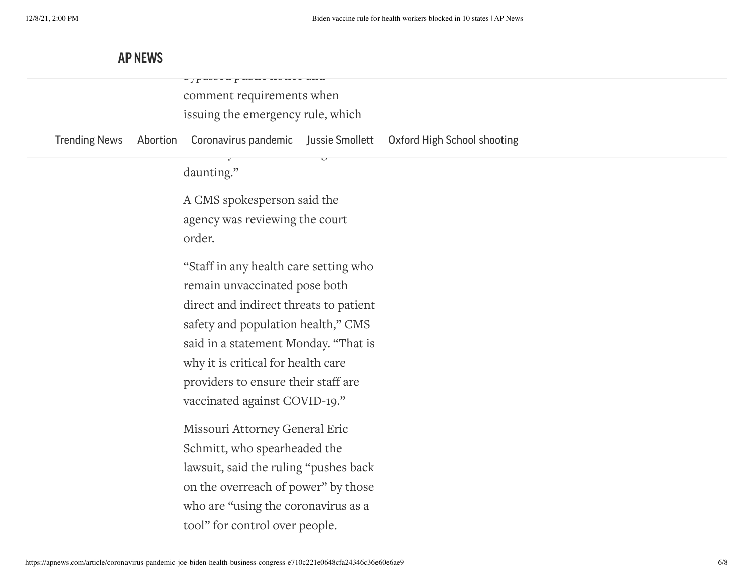comment requirements when issuing the emergency rule, which

by passed notice

[Trending](https://apnews.com/hub/trending-news?utm_source=apnewsnav&utm_medium=featured) News [Abortion](https://apnews.com/hub/abortion?utm_source=apnewsnav&utm_medium=featured) [Coronavirus](https://apnews.com/hub/coronavirus-pandemic?utm_source=apnewsnav&utm_medium=featured) pandemic Jussie [Smollett](https://apnews.com/hub/jussie-smollett?utm_source=apnewsnav&utm_medium=featured) Oxford High School [shooting](https://apnews.com/hub/oxford-high-school-shooting?utm_source=apnewsnav&utm_medium=featured)

hesitancy CMS acknowledges is so

daunting."

A CMS spokesperson said the agency was reviewing the court order.

"Staff in any health care setting who remain unvaccinated pose both direct and indirect threats to patient safety and population health," CMS said in a statement Monday. "That is why it is critical for health care providers to ensure their staff are vaccinated against COVID-19."

Missouri Attorney General Eric Schmitt, who spearheaded the lawsuit, said the ruling "pushes back on the overreach of power" by those who are "using the coronavirus as a tool" for control over people.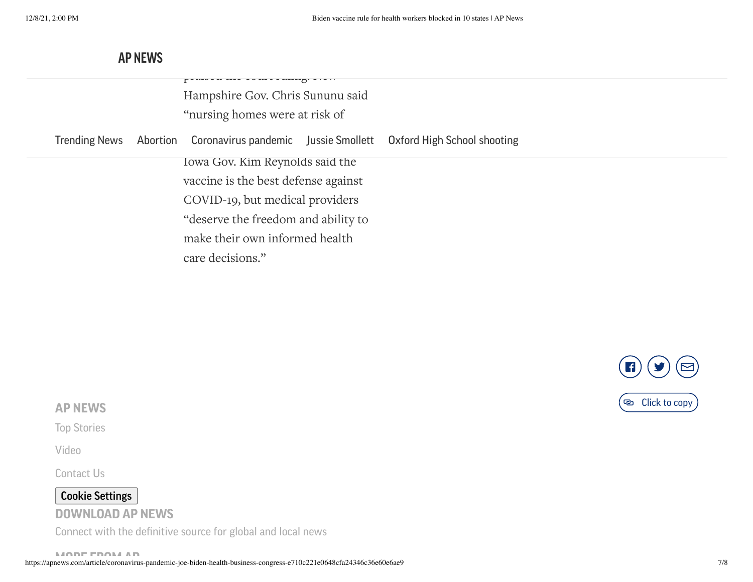|  | PAMOUM MAU UUMAU AMAAAHI ATUTI<br>Hampshire Gov. Chris Sununu said<br>"nursing homes were at risk of                                             |  |                                    |
|--|--------------------------------------------------------------------------------------------------------------------------------------------------|--|------------------------------------|
|  | Trending News Abortion Coronavirus pandemic Jussie Smollett                                                                                      |  | <b>Oxford High School shooting</b> |
|  | Iowa Gov. Kim Reynolds said the<br>vaccine is the best defense against<br>COVID-19, but medical providers<br>"deserve the freedom and ability to |  |                                    |
|  | make their own informed health<br>care decisions."                                                                                               |  |                                    |



#### **AP NEWS**

Top [Stories](https://apnews.com/hub/ap-top-news)

[Video](https://apnews.com/hub/videos)

[Contact](mailto:support@apnews.com) Us

## Cookie Settings

#### **DOWNLOAD AP NEWS**

Connect with the definitive source for global and local news